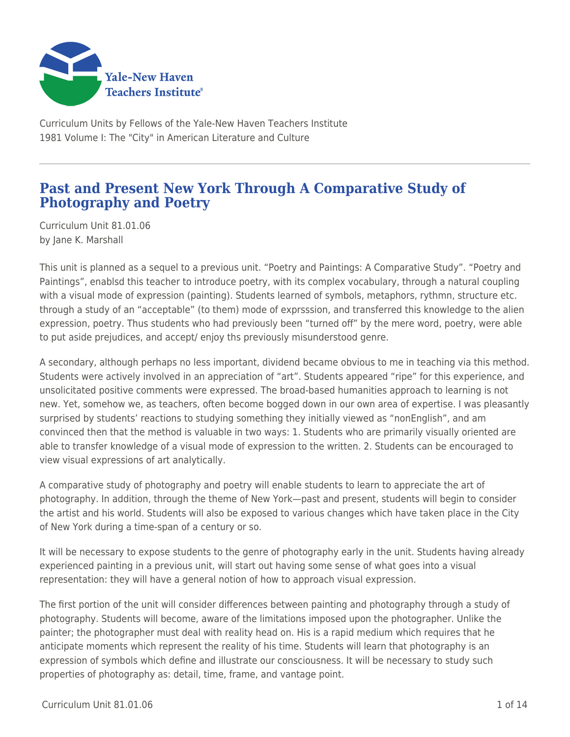

Curriculum Units by Fellows of the Yale-New Haven Teachers Institute 1981 Volume I: The "City" in American Literature and Culture

# **Past and Present New York Through A Comparative Study of Photography and Poetry**

Curriculum Unit 81.01.06 by Jane K. Marshall

This unit is planned as a sequel to a previous unit. "Poetry and Paintings: A Comparative Study". "Poetry and Paintings", enablsd this teacher to introduce poetry, with its complex vocabulary, through a natural coupling with a visual mode of expression (painting). Students learned of symbols, metaphors, rythmn, structure etc. through a study of an "acceptable" (to them) mode of exprsssion, and transferred this knowledge to the alien expression, poetry. Thus students who had previously been "turned off" by the mere word, poetry, were able to put aside prejudices, and accept/ enjoy ths previously misunderstood genre.

A secondary, although perhaps no less important, dividend became obvious to me in teaching via this method. Students were actively involved in an appreciation of "art". Students appeared "ripe" for this experience, and unsolicitated positive comments were expressed. The broad-based humanities approach to learning is not new. Yet, somehow we, as teachers, often become bogged down in our own area of expertise. I was pleasantly surprised by students' reactions to studying something they initially viewed as "nonEnglish", and am convinced then that the method is valuable in two ways: 1. Students who are primarily visually oriented are able to transfer knowledge of a visual mode of expression to the written. 2. Students can be encouraged to view visual expressions of art analytically.

A comparative study of photography and poetry will enable students to learn to appreciate the art of photography. In addition, through the theme of New York—past and present, students will begin to consider the artist and his world. Students will also be exposed to various changes which have taken place in the City of New York during a time-span of a century or so.

It will be necessary to expose students to the genre of photography early in the unit. Students having already experienced painting in a previous unit, will start out having some sense of what goes into a visual representation: they will have a general notion of how to approach visual expression.

The first portion of the unit will consider differences between painting and photography through a study of photography. Students will become, aware of the limitations imposed upon the photographer. Unlike the painter; the photographer must deal with reality head on. His is a rapid medium which requires that he anticipate moments which represent the reality of his time. Students will learn that photography is an expression of symbols which define and illustrate our consciousness. It will be necessary to study such properties of photography as: detail, time, frame, and vantage point.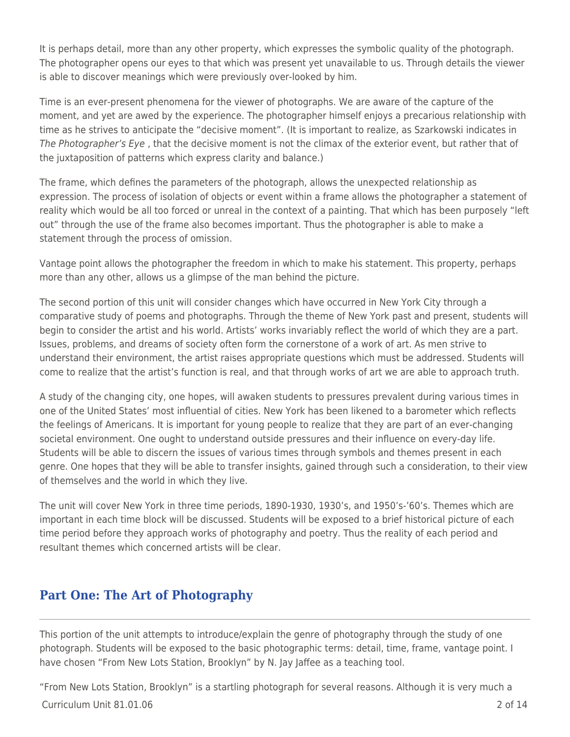It is perhaps detail, more than any other property, which expresses the symbolic quality of the photograph. The photographer opens our eyes to that which was present yet unavailable to us. Through details the viewer is able to discover meanings which were previously over-looked by him.

Time is an ever-present phenomena for the viewer of photographs. We are aware of the capture of the moment, and yet are awed by the experience. The photographer himself enjoys a precarious relationship with time as he strives to anticipate the "decisive moment". (It is important to realize, as Szarkowski indicates in The Photographer's Eye, that the decisive moment is not the climax of the exterior event, but rather that of the juxtaposition of patterns which express clarity and balance.)

The frame, which defines the parameters of the photograph, allows the unexpected relationship as expression. The process of isolation of objects or event within a frame allows the photographer a statement of reality which would be all too forced or unreal in the context of a painting. That which has been purposely "left out" through the use of the frame also becomes important. Thus the photographer is able to make a statement through the process of omission.

Vantage point allows the photographer the freedom in which to make his statement. This property, perhaps more than any other, allows us a glimpse of the man behind the picture.

The second portion of this unit will consider changes which have occurred in New York City through a comparative study of poems and photographs. Through the theme of New York past and present, students will begin to consider the artist and his world. Artists' works invariably reflect the world of which they are a part. Issues, problems, and dreams of society often form the cornerstone of a work of art. As men strive to understand their environment, the artist raises appropriate questions which must be addressed. Students will come to realize that the artist's function is real, and that through works of art we are able to approach truth.

A study of the changing city, one hopes, will awaken students to pressures prevalent during various times in one of the United States' most influential of cities. New York has been likened to a barometer which reflects the feelings of Americans. It is important for young people to realize that they are part of an ever-changing societal environment. One ought to understand outside pressures and their influence on every-day life. Students will be able to discern the issues of various times through symbols and themes present in each genre. One hopes that they will be able to transfer insights, gained through such a consideration, to their view of themselves and the world in which they live.

The unit will cover New York in three time periods, 1890-1930, 1930's, and 1950's-'60's. Themes which are important in each time block will be discussed. Students will be exposed to a brief historical picture of each time period before they approach works of photography and poetry. Thus the reality of each period and resultant themes which concerned artists will be clear.

# **Part One: The Art of Photography**

This portion of the unit attempts to introduce/explain the genre of photography through the study of one photograph. Students will be exposed to the basic photographic terms: detail, time, frame, vantage point. I have chosen "From New Lots Station, Brooklyn" by N. Jay Jaffee as a teaching tool.

Curriculum Unit 81.01.06 2 of 14 "From New Lots Station, Brooklyn" is a startling photograph for several reasons. Although it is very much a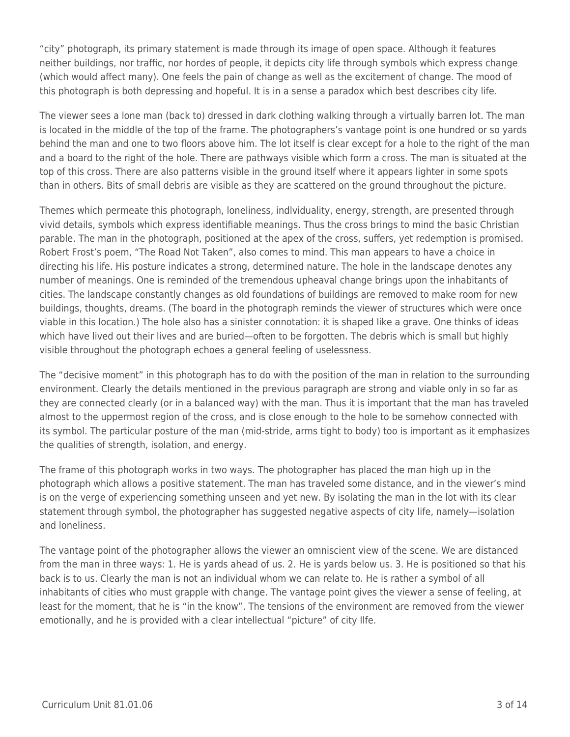"city" photograph, its primary statement is made through its image of open space. Although it features neither buildings, nor traffic, nor hordes of people, it depicts city life through symbols which express change (which would affect many). One feels the pain of change as well as the excitement of change. The mood of this photograph is both depressing and hopeful. It is in a sense a paradox which best describes city life.

The viewer sees a lone man (back to) dressed in dark clothing walking through a virtually barren lot. The man is located in the middle of the top of the frame. The photographers's vantage point is one hundred or so yards behind the man and one to two floors above him. The lot itself is clear except for a hole to the right of the man and a board to the right of the hole. There are pathways visible which form a cross. The man is situated at the top of this cross. There are also patterns visible in the ground itself where it appears lighter in some spots than in others. Bits of small debris are visible as they are scattered on the ground throughout the picture.

Themes which permeate this photograph, loneliness, indlviduality, energy, strength, are presented through vivid details, symbols which express identifiable meanings. Thus the cross brings to mind the basic Christian parable. The man in the photograph, positioned at the apex of the cross, suffers, yet redemption is promised. Robert Frost's poem, "The Road Not Taken", also comes to mind. This man appears to have a choice in directing his life. His posture indicates a strong, determined nature. The hole in the landscape denotes any number of meanings. One is reminded of the tremendous upheaval change brings upon the inhabitants of cities. The landscape constantly changes as old foundations of buildings are removed to make room for new buildings, thoughts, dreams. (The board in the photograph reminds the viewer of structures which were once viable in this location.) The hole also has a sinister connotation: it is shaped like a grave. One thinks of ideas which have lived out their lives and are buried—often to be forgotten. The debris which is small but highly visible throughout the photograph echoes a general feeling of uselessness.

The "decisive moment" in this photograph has to do with the position of the man in relation to the surrounding environment. Clearly the details mentioned in the previous paragraph are strong and viable only in so far as they are connected clearly (or in a balanced way) with the man. Thus it is important that the man has traveled almost to the uppermost region of the cross, and is close enough to the hole to be somehow connected with its symbol. The particular posture of the man (mid-stride, arms tight to body) too is important as it emphasizes the qualities of strength, isolation, and energy.

The frame of this photograph works in two ways. The photographer has placed the man high up in the photograph which allows a positive statement. The man has traveled some distance, and in the viewer's mind is on the verge of experiencing something unseen and yet new. By isolating the man in the lot with its clear statement through symbol, the photographer has suggested negative aspects of city life, namely—isolation and loneliness.

The vantage point of the photographer allows the viewer an omniscient view of the scene. We are distanced from the man in three ways: 1. He is yards ahead of us. 2. He is yards below us. 3. He is positioned so that his back is to us. Clearly the man is not an individual whom we can relate to. He is rather a symbol of all inhabitants of cities who must grapple with change. The vantage point gives the viewer a sense of feeling, at least for the moment, that he is "in the know". The tensions of the environment are removed from the viewer emotionally, and he is provided with a clear intellectual "picture" of city Ilfe.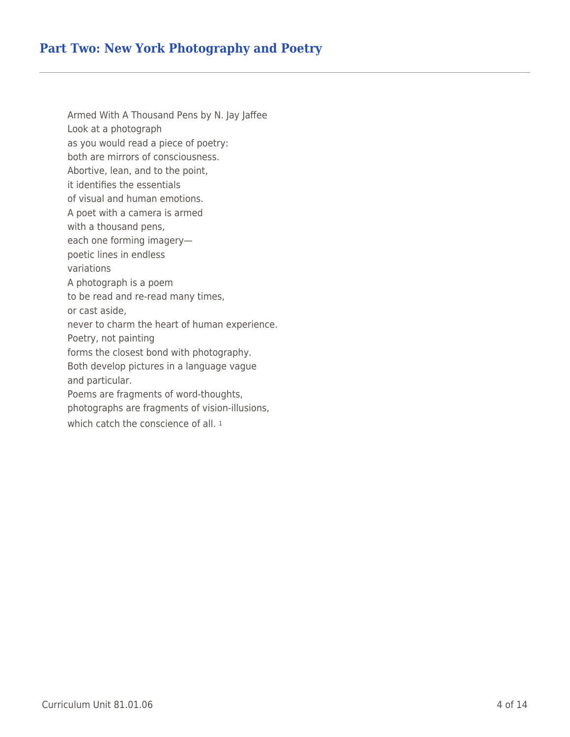## **Part Two: New York Photography and Poetry**

Armed With A Thousand Pens by N. Jay Jaffee Look at a photograph as you would read a piece of poetry: both are mirrors of consciousness. Abortive, lean, and to the point, it identifies the essentials of visual and human emotions. A poet with a camera is armed with a thousand pens, each one forming imagery poetic lines in endless variations A photograph is a poem to be read and re-read many times, or cast aside, never to charm the heart of human experience. Poetry, not painting forms the closest bond with photography. Both develop pictures in a language vague and particular. Poems are fragments of word-thoughts, photographs are fragments of vision-illusions, which catch the conscience of all. 1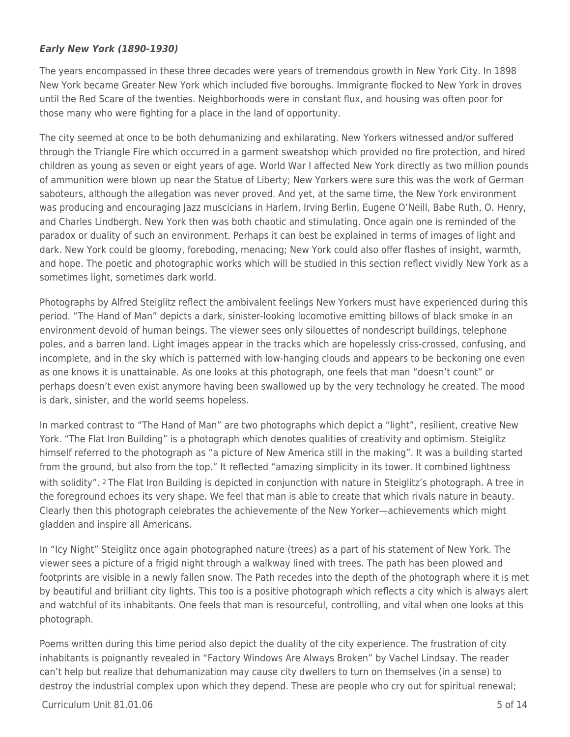### *Early New York (1890-1930)*

The years encompassed in these three decades were years of tremendous growth in New York City. In 1898 New York became Greater New York which included five boroughs. Immigrante flocked to New York in droves until the Red Scare of the twenties. Neighborhoods were in constant flux, and housing was often poor for those many who were fighting for a place in the land of opportunity.

The city seemed at once to be both dehumanizing and exhilarating. New Yorkers witnessed and/or suffered through the Triangle Fire which occurred in a garment sweatshop which provided no fire protection, and hired children as young as seven or eight years of age. World War I affected New York directly as two million pounds of ammunition were blown up near the Statue of Liberty; New Yorkers were sure this was the work of German saboteurs, although the allegation was never proved. And yet, at the same time, the New York environment was producing and encouraging Jazz muscicians in Harlem, Irving Berlin, Eugene O'Neill, Babe Ruth, O. Henry, and Charles Lindbergh. New York then was both chaotic and stimulating. Once again one is reminded of the paradox or duality of such an environment. Perhaps it can best be explained in terms of images of light and dark. New York could be gloomy, foreboding, menacing; New York could also offer flashes of insight, warmth, and hope. The poetic and photographic works which will be studied in this section reflect vividly New York as a sometimes light, sometimes dark world.

Photographs by Alfred Steiglitz reflect the ambivalent feelings New Yorkers must have experienced during this period. "The Hand of Man" depicts a dark, sinister-looking locomotive emitting billows of black smoke in an environment devoid of human beings. The viewer sees only silouettes of nondescript buildings, telephone poles, and a barren land. Light images appear in the tracks which are hopelessly criss-crossed, confusing, and incomplete, and in the sky which is patterned with low-hanging clouds and appears to be beckoning one even as one knows it is unattainable. As one looks at this photograph, one feels that man "doesn't count" or perhaps doesn't even exist anymore having been swallowed up by the very technology he created. The mood is dark, sinister, and the world seems hopeless.

In marked contrast to "The Hand of Man" are two photographs which depict a "light", resilient, creative New York. "The Flat Iron Building" is a photograph which denotes qualities of creativity and optimism. Steiglitz himself referred to the photograph as "a picture of New America still in the making". It was a building started from the ground, but also from the top." It reflected "amazing simplicity in its tower. It combined lightness with solidity". 2 The Flat Iron Building is depicted in conjunction with nature in Steiglitz's photograph. A tree in the foreground echoes its very shape. We feel that man is able to create that which rivals nature in beauty. Clearly then this photograph celebrates the achievemente of the New Yorker—achievements which might gladden and inspire all Americans.

In "Icy Night" Steiglitz once again photographed nature (trees) as a part of his statement of New York. The viewer sees a picture of a frigid night through a walkway lined with trees. The path has been plowed and footprints are visible in a newly fallen snow. The Path recedes into the depth of the photograph where it is met by beautiful and brilliant city lights. This too is a positive photograph which reflects a city which is always alert and watchful of its inhabitants. One feels that man is resourceful, controlling, and vital when one looks at this photograph.

Poems written during this time period also depict the duality of the city experience. The frustration of city inhabitants is poignantly revealed in "Factory Windows Are Always Broken" by Vachel Lindsay. The reader can't help but realize that dehumanization may cause city dwellers to turn on themselves (in a sense) to destroy the industrial complex upon which they depend. These are people who cry out for spiritual renewal;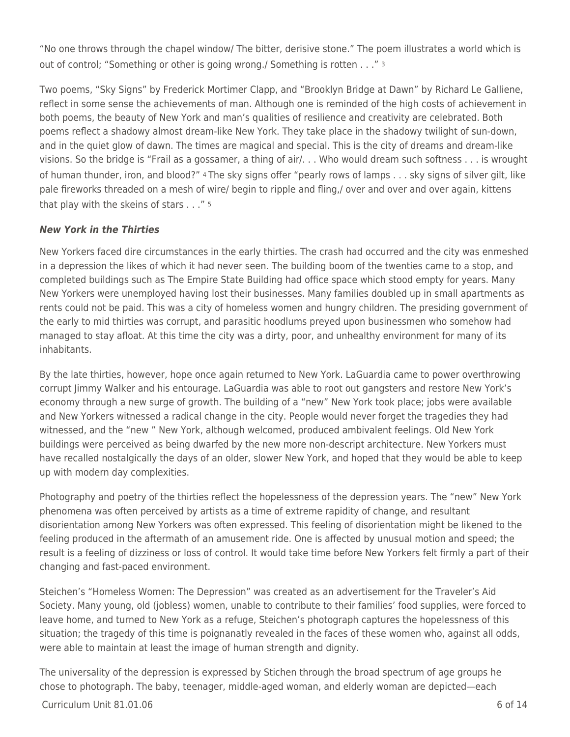"No one throws through the chapel window/ The bitter, derisive stone." The poem illustrates a world which is out of control; "Something or other is going wrong./ Something is rotten . . ." <sup>3</sup>

Two poems, "Sky Signs" by Frederick Mortimer Clapp, and "Brooklyn Bridge at Dawn" by Richard Le Galliene, reflect in some sense the achievements of man. Although one is reminded of the high costs of achievement in both poems, the beauty of New York and man's qualities of resilience and creativity are celebrated. Both poems reflect a shadowy almost dream-like New York. They take place in the shadowy twilight of sun-down, and in the quiet glow of dawn. The times are magical and special. This is the city of dreams and dream-like visions. So the bridge is "Frail as a gossamer, a thing of air/. . . Who would dream such softness . . . is wrought of human thunder, iron, and blood?" 4 The sky signs offer "pearly rows of lamps . . . sky signs of silver gilt, like pale fireworks threaded on a mesh of wire/ begin to ripple and fling,/ over and over and over again, kittens that play with the skeins of stars . . ." <sup>5</sup>

## *New York in the Thirties*

New Yorkers faced dire circumstances in the early thirties. The crash had occurred and the city was enmeshed in a depression the likes of which it had never seen. The building boom of the twenties came to a stop, and completed buildings such as The Empire State Building had office space which stood empty for years. Many New Yorkers were unemployed having lost their businesses. Many families doubled up in small apartments as rents could not be paid. This was a city of homeless women and hungry children. The presiding government of the early to mid thirties was corrupt, and parasitic hoodlums preyed upon businessmen who somehow had managed to stay afloat. At this time the city was a dirty, poor, and unhealthy environment for many of its inhabitants.

By the late thirties, however, hope once again returned to New York. LaGuardia came to power overthrowing corrupt Jimmy Walker and his entourage. LaGuardia was able to root out gangsters and restore New York's economy through a new surge of growth. The building of a "new" New York took place; jobs were available and New Yorkers witnessed a radical change in the city. People would never forget the tragedies they had witnessed, and the "new " New York, although welcomed, produced ambivalent feelings. Old New York buildings were perceived as being dwarfed by the new more non-descript architecture. New Yorkers must have recalled nostalgically the days of an older, slower New York, and hoped that they would be able to keep up with modern day complexities.

Photography and poetry of the thirties reflect the hopelessness of the depression years. The "new" New York phenomena was often perceived by artists as a time of extreme rapidity of change, and resultant disorientation among New Yorkers was often expressed. This feeling of disorientation might be likened to the feeling produced in the aftermath of an amusement ride. One is affected by unusual motion and speed; the result is a feeling of dizziness or loss of control. It would take time before New Yorkers felt firmly a part of their changing and fast-paced environment.

Steichen's "Homeless Women: The Depression" was created as an advertisement for the Traveler's Aid Society. Many young, old (jobless) women, unable to contribute to their families' food supplies, were forced to leave home, and turned to New York as a refuge, Steichen's photograph captures the hopelessness of this situation; the tragedy of this time is poignanatly revealed in the faces of these women who, against all odds, were able to maintain at least the image of human strength and dignity.

The universality of the depression is expressed by Stichen through the broad spectrum of age groups he chose to photograph. The baby, teenager, middle-aged woman, and elderly woman are depicted—each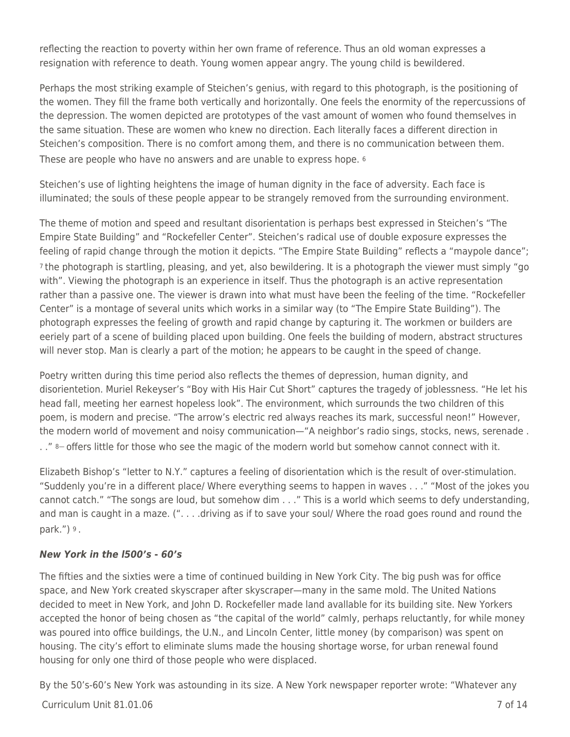reflecting the reaction to poverty within her own frame of reference. Thus an old woman expresses a resignation with reference to death. Young women appear angry. The young child is bewildered.

Perhaps the most striking example of Steichen's genius, with regard to this photograph, is the positioning of the women. They fill the frame both vertically and horizontally. One feels the enormity of the repercussions of the depression. The women depicted are prototypes of the vast amount of women who found themselves in the same situation. These are women who knew no direction. Each literally faces a different direction in Steichen's composition. There is no comfort among them, and there is no communication between them. These are people who have no answers and are unable to express hope. <sup>6</sup>

Steichen's use of lighting heightens the image of human dignity in the face of adversity. Each face is illuminated; the souls of these people appear to be strangely removed from the surrounding environment.

The theme of motion and speed and resultant disorientation is perhaps best expressed in Steichen's "The Empire State Building" and "Rockefeller Center". Steichen's radical use of double exposure expresses the feeling of rapid change through the motion it depicts. "The Empire State Building" reflects a "maypole dance"; <sup>7</sup>the photograph is startling, pleasing, and yet, also bewildering. It is a photograph the viewer must simply "go with". Viewing the photograph is an experience in itself. Thus the photograph is an active representation rather than a passive one. The viewer is drawn into what must have been the feeling of the time. "Rockefeller Center" is a montage of several units which works in a similar way (to "The Empire State Building"). The photograph expresses the feeling of growth and rapid change by capturing it. The workmen or builders are eeriely part of a scene of building placed upon building. One feels the building of modern, abstract structures will never stop. Man is clearly a part of the motion; he appears to be caught in the speed of change.

Poetry written during this time period also reflects the themes of depression, human dignity, and disorientetion. Muriel Rekeyser's "Boy with His Hair Cut Short" captures the tragedy of joblessness. "He let his head fall, meeting her earnest hopeless look". The environment, which surrounds the two children of this poem, is modern and precise. "The arrow's electric red always reaches its mark, successful neon!" However, the modern world of movement and noisy communication—"A neighbor's radio sings, stocks, news, serenade .  $\therefore$  " 8– offers little for those who see the magic of the modern world but somehow cannot connect with it.

Elizabeth Bishop's "letter to N.Y." captures a feeling of disorientation which is the result of over-stimulation. "Suddenly you're in a different place/ Where everything seems to happen in waves . . ." "Most of the jokes you cannot catch." "The songs are loud, but somehow dim . . ." This is a world which seems to defy understanding, and man is caught in a maze. (". . . .driving as if to save your soul/ Where the road goes round and round the park.") 9 .

## *New York in the l500's* **-** *60's*

The fifties and the sixties were a time of continued building in New York City. The big push was for office space, and New York created skyscraper after skyscraper—many in the same mold. The United Nations decided to meet in New York, and John D. Rockefeller made land avallable for its building site. New Yorkers accepted the honor of being chosen as "the capital of the world" calmly, perhaps reluctantly, for while money was poured into office buildings, the U.N., and Lincoln Center, little money (by comparison) was spent on housing. The city's effort to eliminate slums made the housing shortage worse, for urban renewal found housing for only one third of those people who were displaced.

By the 50's-60's New York was astounding in its size. A New York newspaper reporter wrote: "Whatever any

## Curriculum Unit 81.01.06 7 of 14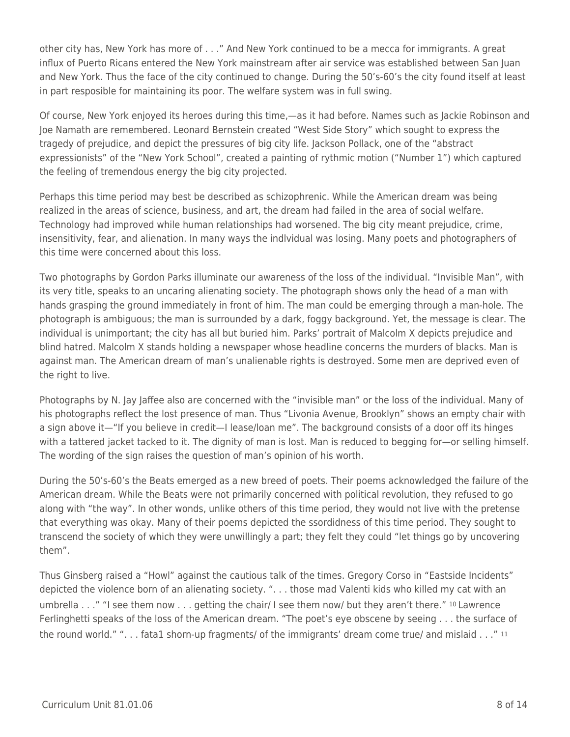other city has, New York has more of . . ." And New York continued to be a mecca for immigrants. A great influx of Puerto Ricans entered the New York mainstream after air service was established between San Juan and New York. Thus the face of the city continued to change. During the 50's-60's the city found itself at least in part resposible for maintaining its poor. The welfare system was in full swing.

Of course, New York enjoyed its heroes during this time,—as it had before. Names such as Jackie Robinson and Joe Namath are remembered. Leonard Bernstein created "West Side Story" which sought to express the tragedy of prejudice, and depict the pressures of big city life. Jackson Pollack, one of the "abstract expressionists" of the "New York School", created a painting of rythmic motion ("Number 1") which captured the feeling of tremendous energy the big city projected.

Perhaps this time period may best be described as schizophrenic. While the American dream was being realized in the areas of science, business, and art, the dream had failed in the area of social welfare. Technology had improved while human relationships had worsened. The big city meant prejudice, crime, insensitivity, fear, and alienation. In many ways the indlvidual was losing. Many poets and photographers of this time were concerned about this loss.

Two photographs by Gordon Parks illuminate our awareness of the loss of the individual. "Invisible Man", with its very title, speaks to an uncaring alienating society. The photograph shows only the head of a man with hands grasping the ground immediately in front of him. The man could be emerging through a man-hole. The photograph is ambiguous; the man is surrounded by a dark, foggy background. Yet, the message is clear. The individual is unimportant; the city has all but buried him. Parks' portrait of Malcolm X depicts prejudice and blind hatred. Malcolm X stands holding a newspaper whose headline concerns the murders of blacks. Man is against man. The American dream of man's unalienable rights is destroyed. Some men are deprived even of the right to live.

Photographs by N. Jay Jaffee also are concerned with the "invisible man" or the loss of the individual. Many of his photographs reflect the lost presence of man. Thus "Livonia Avenue, Brooklyn" shows an empty chair with a sign above it—"If you believe in credit—I lease/loan me". The background consists of a door off its hinges with a tattered jacket tacked to it. The dignity of man is lost. Man is reduced to begging for—or selling himself. The wording of the sign raises the question of man's opinion of his worth.

During the 50's-60's the Beats emerged as a new breed of poets. Their poems acknowledged the failure of the American dream. While the Beats were not primarily concerned with political revolution, they refused to go along with "the way". In other wonds, unlike others of this time period, they would not live with the pretense that everything was okay. Many of their poems depicted the ssordidness of this time period. They sought to transcend the society of which they were unwillingly a part; they felt they could "let things go by uncovering them".

Thus Ginsberg raised a "Howl" against the cautious talk of the times. Gregory Corso in "Eastside Incidents" depicted the violence born of an alienating society. ". . . those mad Valenti kids who killed my cat with an umbrella . . ." "I see them now . . . getting the chair/ I see them now/ but they aren't there." 10 Lawrence Ferlinghetti speaks of the loss of the American dream. "The poet's eye obscene by seeing . . . the surface of the round world." ". . . fata1 shorn-up fragments/ of the immigrants' dream come true/ and mislaid . . ." 11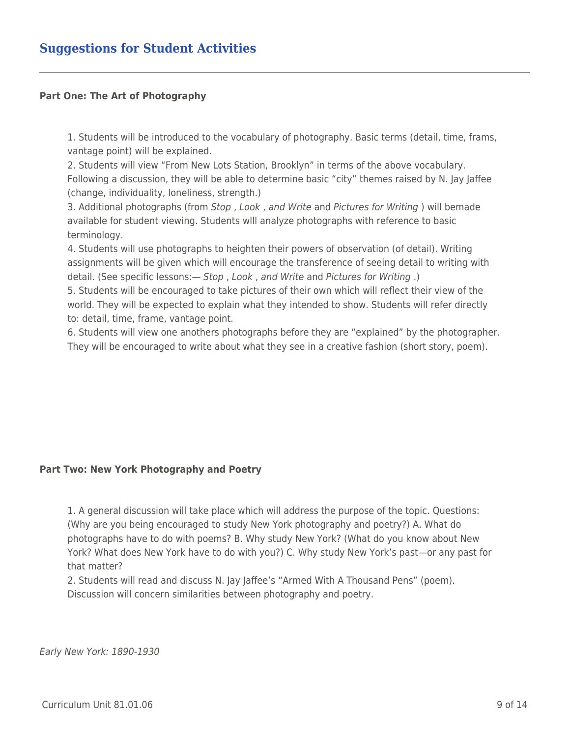#### **Part One: The Art of Photography**

1. Students will be introduced to the vocabulary of photography. Basic terms (detail, time, frams, vantage point) will be explained.

2. Students will view "From New Lots Station, Brooklyn" in terms of the above vocabulary. Following a discussion, they will be able to determine basic "city" themes raised by N. Jay Jaffee (change, individuality, loneliness, strength.)

3. Additional photographs (from Stop , Look , and Write and Pictures for Writing ) will bemade available for student viewing. Students wlll analyze photographs with reference to basic terminology.

4. Students will use photographs to heighten their powers of observation (of detail). Writing assignments will be given which will encourage the transference of seeing detail to writing with detail. (See specific lessons:— Stop , Look , and Write and Pictures for Writing .)

5. Students will be encouraged to take pictures of their own which will reflect their view of the world. They will be expected to explain what they intended to show. Students will refer directly to: detail, time, frame, vantage point.

6. Students will view one anothers photographs before they are "explained" by the photographer. They will be encouraged to write about what they see in a creative fashion (short story, poem).

#### **Part Two: New York Photography and Poetry**

1. A general discussion will take place which will address the purpose of the topic. Questions: (Why are you being encouraged to study New York photography and poetry?) A. What do photographs have to do with poems? B. Why study New York? (What do you know about New York? What does New York have to do with you?) C. Why study New York's past—or any past for that matter?

2. Students will read and discuss N. Jay Jaffee's "Armed With A Thousand Pens" (poem). Discussion will concern similarities between photography and poetry.

Early New York: 1890-1930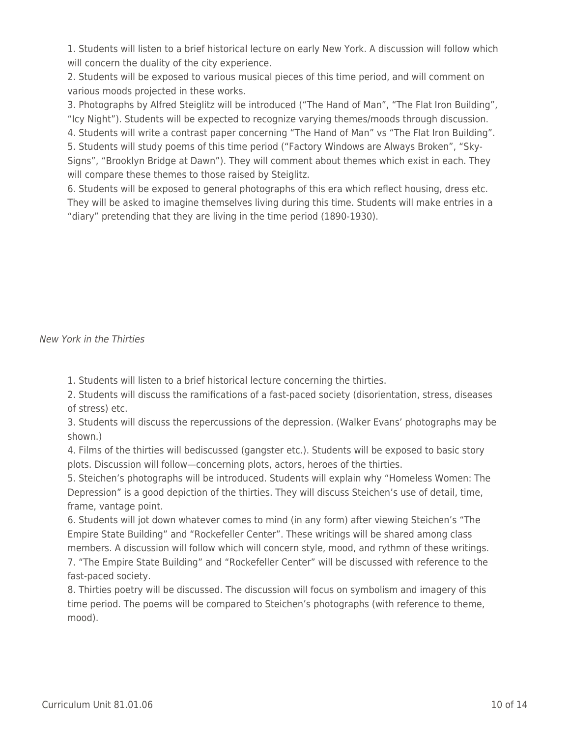1. Students will listen to a brief historical lecture on early New York. A discussion will follow which will concern the duality of the city experience.

2. Students will be exposed to various musical pieces of this time period, and will comment on various moods projected in these works.

3. Photographs by Alfred Steiglitz will be introduced ("The Hand of Man", "The Flat Iron Building", "Icy Night"). Students will be expected to recognize varying themes/moods through discussion.

4. Students will write a contrast paper concerning "The Hand of Man" vs "The Flat Iron Building".

5. Students will study poems of this time period ("Factory Windows are Always Broken", "Sky-Signs", "Brooklyn Bridge at Dawn"). They will comment about themes which exist in each. They will compare these themes to those raised by Steiglitz.

6. Students will be exposed to general photographs of this era which reflect housing, dress etc. They will be asked to imagine themselves living during this time. Students will make entries in a "diary" pretending that they are living in the time period (1890-1930).

New York in the Thirties

1. Students will listen to a brief historical lecture concerning the thirties.

2. Students will discuss the ramifications of a fast-paced society (disorientation, stress, diseases of stress) etc.

3. Students will discuss the repercussions of the depression. (Walker Evans' photographs may be shown.)

4. Films of the thirties will bediscussed (gangster etc.). Students will be exposed to basic story plots. Discussion will follow—concerning plots, actors, heroes of the thirties.

5. Steichen's photographs will be introduced. Students will explain why "Homeless Women: The Depression" is a good depiction of the thirties. They will discuss Steichen's use of detail, time, frame, vantage point.

6. Students will jot down whatever comes to mind (in any form) after viewing Steichen's "The Empire State Building" and "Rockefeller Center". These writings will be shared among class members. A discussion will follow which will concern style, mood, and rythmn of these writings. 7. "The Empire State Building" and "Rockefeller Center" will be discussed with reference to the fast-paced society.

8. Thirties poetry will be discussed. The discussion will focus on symbolism and imagery of this time period. The poems will be compared to Steichen's photographs (with reference to theme, mood).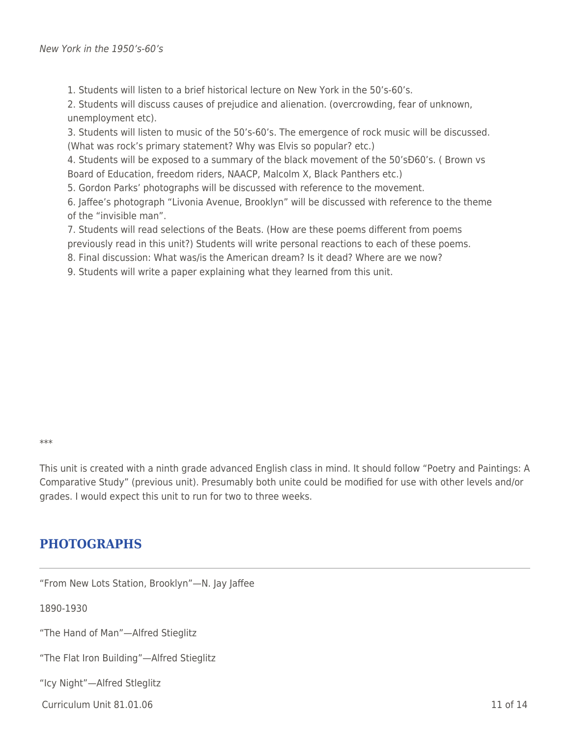1. Students will listen to a brief historical lecture on New York in the 50's-60's.

2. Students will discuss causes of prejudice and alienation. (overcrowding, fear of unknown, unemployment etc).

3. Students will listen to music of the 50's-60's. The emergence of rock music will be discussed. (What was rock's primary statement? Why was Elvis so popular? etc.)

4. Students will be exposed to a summary of the black movement of the 50'sÐ60's. ( Brown vs Board of Education, freedom riders, NAACP, Malcolm X, Black Panthers etc.)

5. Gordon Parks' photographs will be discussed with reference to the movement.

6. Jaffee's photograph "Livonia Avenue, Brooklyn" will be discussed with reference to the theme of the "invisible man".

7. Students will read selections of the Beats. (How are these poems different from poems

previously read in this unit?) Students will write personal reactions to each of these poems.

8. Final discussion: What was/is the American dream? Is it dead? Where are we now?

9. Students will write a paper explaining what they learned from this unit.

\*\*\*

This unit is created with a ninth grade advanced English class in mind. It should follow "Poetry and Paintings: A Comparative Study" (previous unit). Presumably both unite could be modified for use with other levels and/or grades. I would expect this unit to run for two to three weeks.

# **PHOTOGRAPHS**

"From New Lots Station, Brooklyn"—N. Jay Jaffee

1890-1930

"The Hand of Man"—Alfred Stieglitz

"The Flat Iron Building"—Alfred Stieglitz

"Icy Night"—Alfred Stleglitz

 $C$ urriculum Unit 81.01.06  $\hspace{1.5cm}$  11 of 14  $\hspace{1.5cm}$  11 of 14  $\hspace{1.5cm}$  11 of 14  $\hspace{1.5cm}$  11 of 14  $\hspace{1.5cm}$  11 of 14  $\hspace{1.5cm}$  11 of 14  $\hspace{1.5cm}$  11 of 14  $\hspace{1.5cm}$  11 of 14  $\hspace{1.5cm}$  11 of 14  $\hspace{$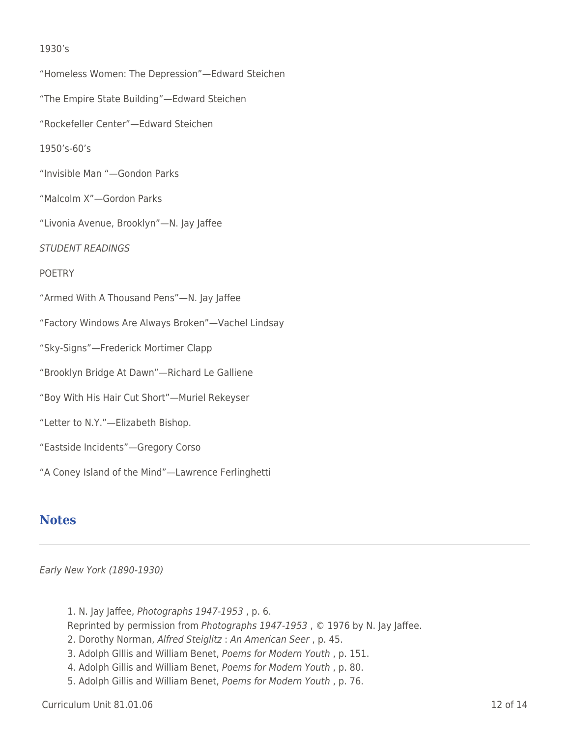### 1930's

"Homeless Women: The Depression"—Edward Steichen "The Empire State Building"—Edward Steichen "Rockefeller Center"—Edward Steichen 1950's-60's "Invisible Man "—Gondon Parks "Malcolm X"—Gordon Parks "Livonia Avenue, Brooklyn"—N. Jay Jaffee STUDENT READINGS **POFTRY** "Armed With A Thousand Pens"—N. Jay Jaffee "Factory Windows Are Always Broken"—Vachel Lindsay "Sky-Signs"—Frederick Mortimer Clapp "Brooklyn Bridge At Dawn"—Richard Le Galliene "Boy With His Hair Cut Short"—Muriel Rekeyser "Letter to N.Y."—Elizabeth Bishop. "Eastside Incidents"—Gregory Corso "A Coney Island of the Mind"—Lawrence Ferlinghetti

## **Notes**

Early New York (1890-1930)

- 1. N. Jay Jaffee, Photographs 1947-1953 , p. 6.
- Reprinted by permission from Photographs 1947-1953, © 1976 by N. Jay Jaffee.
- 2. Dorothy Norman, Alfred Steiglitz : An American Seer , p. 45.
- 3. Adolph Glllis and William Benet, Poems for Modern Youth , p. 151.
- 4. Adolph Gillis and William Benet, Poems for Modern Youth , p. 80.
- 5. Adolph Gillis and William Benet, Poems for Modern Youth , p. 76.

 $C$ urriculum Unit 81.01.06  $\hspace{1.5cm}$  12 of 14  $\hspace{1.5cm}$  12 of 14  $\hspace{1.5cm}$  12 of 14  $\hspace{1.5cm}$  12 of 14  $\hspace{1.5cm}$  12 of 14  $\hspace{1.5cm}$  12 of 14  $\hspace{1.5cm}$  12 of 14  $\hspace{1.5cm}$  12 of 14  $\hspace{1.5cm}$  12 of 14  $\hspace{$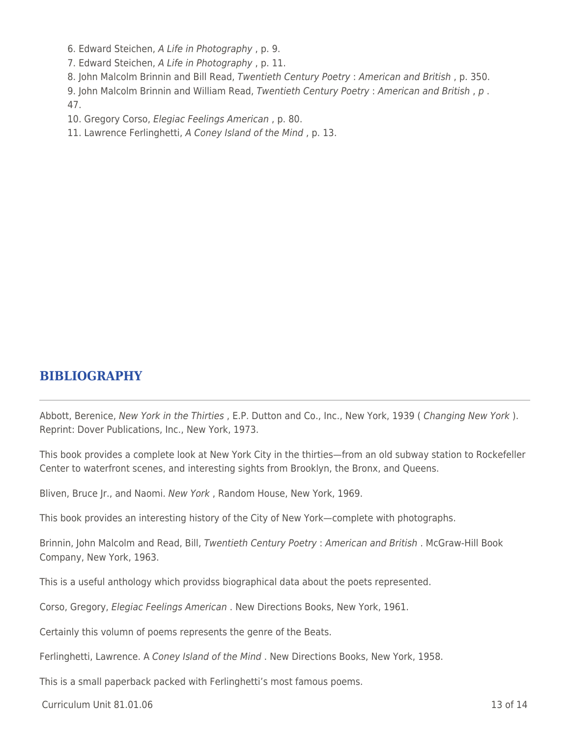6. Edward Steichen, A Life in Photography , p. 9.

7. Edward Steichen, A Life in Photography , p. 11.

8. John Malcolm Brinnin and Bill Read, Twentieth Century Poetry : American and British , p. 350.

9. John Malcolm Brinnin and William Read, Twentieth Century Poetry : American and British , p . 47.

10. Gregory Corso, Elegiac Feelings American , p. 80.

11. Lawrence Ferlinghetti, A Coney Island of the Mind , p. 13.

## **BIBLIOGRAPHY**

Abbott, Berenice, New York in the Thirties , E.P. Dutton and Co., Inc., New York, 1939 ( Changing New York ). Reprint: Dover Publications, Inc., New York, 1973.

This book provides a complete look at New York City in the thirties—from an old subway station to Rockefeller Center to waterfront scenes, and interesting sights from Brooklyn, the Bronx, and Queens.

Bliven, Bruce Jr., and Naomi. New York , Random House, New York, 1969.

This book provides an interesting history of the City of New York—complete with photographs.

Brinnin, John Malcolm and Read, Bill, Twentieth Century Poetry : American and British . McGraw-Hill Book Company, New York, 1963.

This is a useful anthology which providss biographical data about the poets represented.

Corso, Gregory, Elegiac Feelings American . New Directions Books, New York, 1961.

Certainly this volumn of poems represents the genre of the Beats.

Ferlinghetti, Lawrence. A Coney Island of the Mind . New Directions Books, New York, 1958.

This is a small paperback packed with Ferlinghetti's most famous poems.

 $C$ urriculum Unit 81.01.06  $\hspace{1.5cm}$  13 of 14  $\hspace{1.5cm}$  13 of 14  $\hspace{1.5cm}$  13 of 14  $\hspace{1.5cm}$  13 of 14  $\hspace{1.5cm}$  13 of 14  $\hspace{1.5cm}$  13 of 14  $\hspace{1.5cm}$  13 of 14  $\hspace{1.5cm}$  13 of 14  $\hspace{1.5cm}$  13 of 14  $\hspace{$